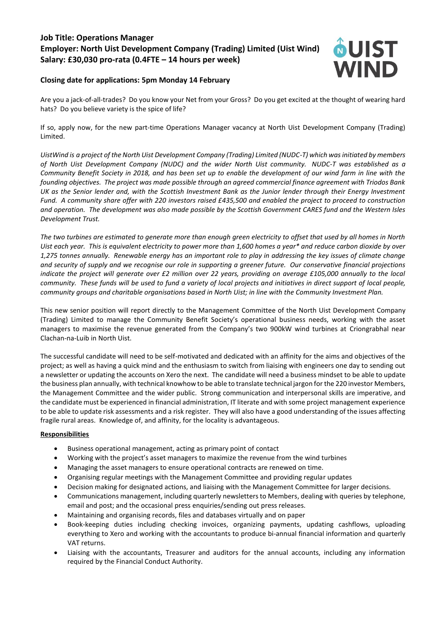# **Job Title: Operations Manager Employer: North Uist Development Company (Trading) Limited (Uist Wind) Salary: £30,030 pro-rata (0.4FTE – 14 hours per week)**



## **Closing date for applications: 5pm Monday 14 February**

Are you a jack-of-all-trades? Do you know your Net from your Gross? Do you get excited at the thought of wearing hard hats? Do you believe variety is the spice of life?

If so, apply now, for the new part-time Operations Manager vacancy at North Uist Development Company (Trading) Limited.

*UistWind is a project of the North Uist Development Company (Trading) Limited (NUDC-T) which was initiated by members of North Uist Development Company (NUDC) and the wider North Uist community. NUDC-T was established as a Community Benefit Society in 2018, and has been set up to enable the development of our wind farm in line with the founding objectives. The project was made possible through an agreed commercial finance agreement with Triodos Bank UK as the Senior lender and, with the Scottish Investment Bank as the Junior lender through their Energy Investment Fund. A community share offer with 220 investors raised £435,500 and enabled the project to proceed to construction and operation. The development was also made possible by the Scottish Government CARES fund and the Western Isles Development Trust.*

*The two turbines are estimated to generate more than enough green electricity to offset that used by all homes in North Uist each year. This is equivalent electricity to power more than 1,600 homes a year\* and reduce carbon dioxide by over 1,275 tonnes annually. Renewable energy has an important role to play in addressing the key issues of climate change and security of supply and we recognise our role in supporting a greener future. Our conservative financial projections indicate the project will generate over £2 million over 22 years, providing on average £105,000 annually to the local community. These funds will be used to fund a variety of local projects and initiatives in direct support of local people, community groups and charitable organisations based in North Uist; in line with the Community Investment Plan.*

This new senior position will report directly to the Management Committee of the North Uist Development Company (Trading) Limited to manage the Community Benefit Society's operational business needs, working with the asset managers to maximise the revenue generated from the Company's two 900kW wind turbines at Criongrabhal near Clachan-na-Luib in North Uist.

The successful candidate will need to be self-motivated and dedicated with an affinity for the aims and objectives of the project; as well as having a quick mind and the enthusiasm to switch from liaising with engineers one day to sending out a newsletter or updating the accounts on Xero the next. The candidate will need a business mindset to be able to update the business plan annually, with technical knowhow to be able to translate technical jargon for the 220 investor Members, the Management Committee and the wider public. Strong communication and interpersonal skills are imperative, and the candidate must be experienced in financial administration, IT literate and with some project management experience to be able to update risk assessments and a risk register. They will also have a good understanding of the issues affecting fragile rural areas. Knowledge of, and affinity, for the locality is advantageous.

#### **Responsibilities**

- Business operational management, acting as primary point of contact
- Working with the project's asset managers to maximize the revenue from the wind turbines
- Managing the asset managers to ensure operational contracts are renewed on time.
- Organising regular meetings with the Management Committee and providing regular updates
- Decision making for designated actions, and liaising with the Management Committee for larger decisions.
- Communications management, including quarterly newsletters to Members, dealing with queries by telephone, email and post; and the occasional press enquiries/sending out press releases.
- Maintaining and organising records, files and databases virtually and on paper
- Book-keeping duties including checking invoices, organizing payments, updating cashflows, uploading everything to Xero and working with the accountants to produce bi-annual financial information and quarterly VAT returns.
- Liaising with the accountants, Treasurer and auditors for the annual accounts, including any information required by the Financial Conduct Authority.